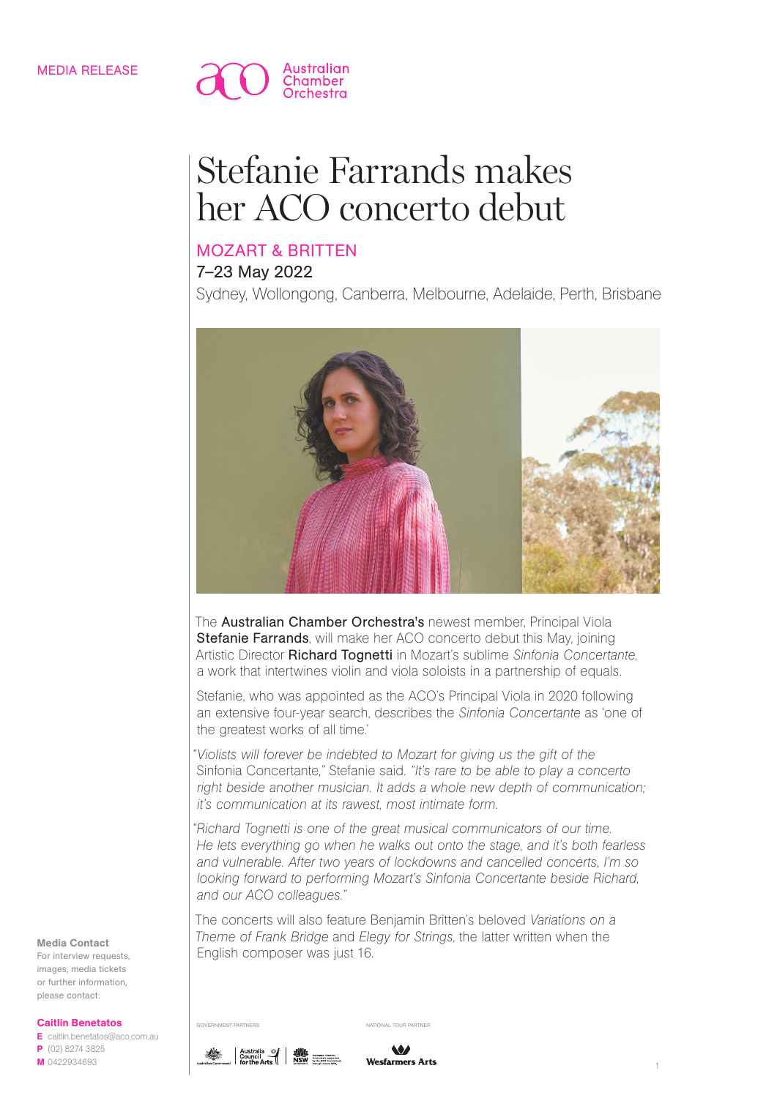

# Stefanie Farrands makes her ACO concerto debut

## MOZART & BRITTEN

## 7–23 May 2022

Sydney, Wollongong, Canberra, Melbourne, Adelaide, Perth, Brisbane



The **Australian Chamber Orchestra's** newest member, Principal Viola Stefanie Farrands, will make her ACO concerto debut this May, joining Artistic Director Richard Tognetti in Mozart's sublime *Sinfonia Concertante*, a work that intertwines violin and viola soloists in a partnership of equals.

Stefanie, who was appointed as the ACO's Principal Viola in 2020 following an extensive four-year search, describes the *Sinfonia Concertante* as 'one of the greatest works of all time.'

*"Violists will forever be indebted to Mozart for giving us the gift of the*  Sinfonia Concertante*,"* Stefanie said. *"It's rare to be able to play a concerto*  right beside another musician. It adds a whole new depth of communication; *it's communication at its rawest, most intimate form.*

*"Richard Tognetti is one of the great musical communicators of our time. He lets everything go when he walks out onto the stage, and it's both fearless and vulnerable. After two years of lockdowns and cancelled concerts, I'm so looking forward to performing Mozart's Sinfonia Concertante beside Richard, and our ACO colleagues."*

The concerts will also feature Benjamin Britten's beloved *Variations on a Theme of Frank Bridge* and *Elegy for Strings*, the latter written when the English composer was just 16.

#### Media Contact

For interview requests, images, media tickets or further information, please contact:

Caitlin Benetatos

E caitlin.benetatos@aco.com.au P (02) 8274 3825 M 0422934693



GOVERNMENT PARTNERS NATIONAL TOUR PARTNERS

 $\bullet$ Wesfarmers Arts